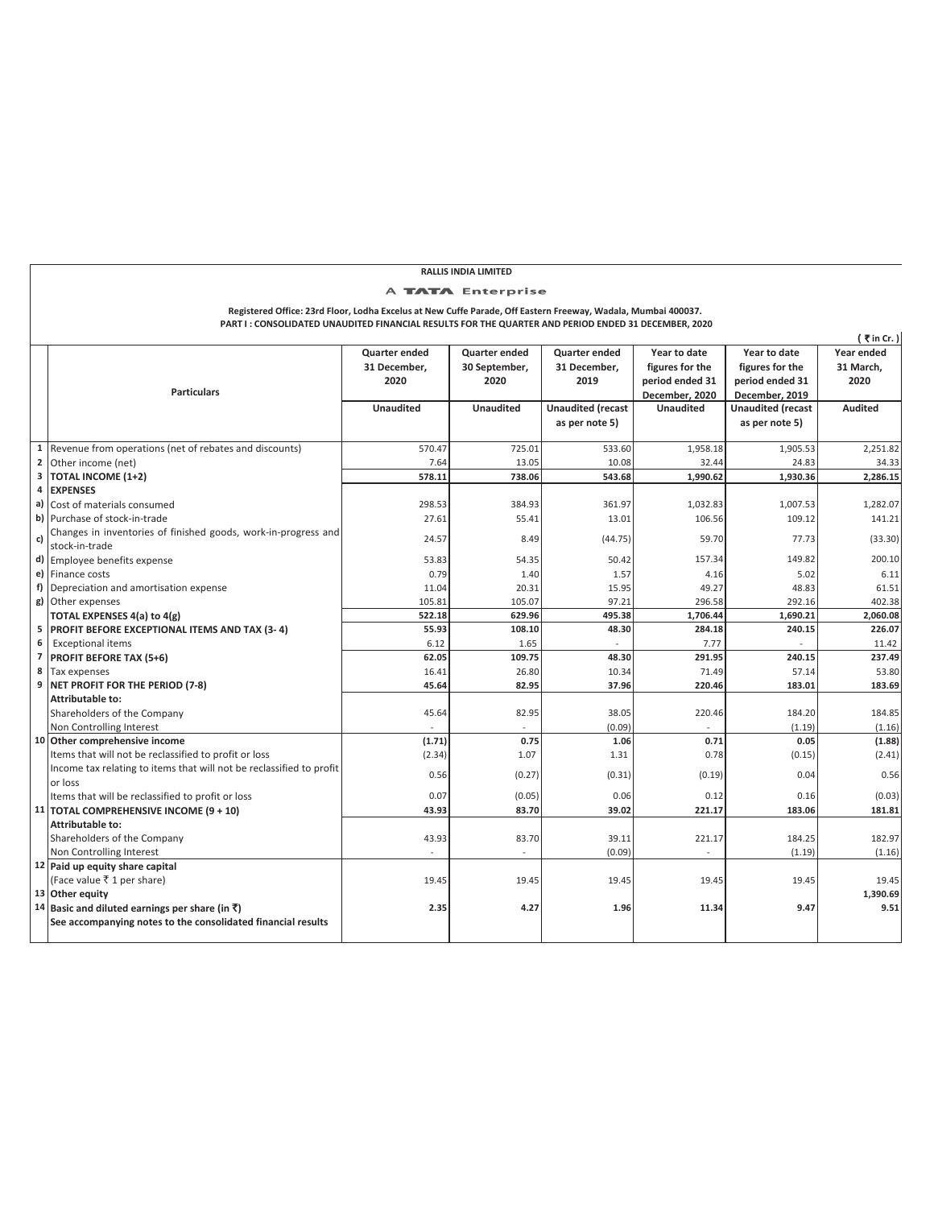## **RALLIS INDIA LIMITED**

## A **TATA** Enterprise

**Registered Office: 23rd Floor, Lodha Excelus at New Cuffe Parade, Off Eastern Freeway, Wadala, Mumbai 400037. PART I : CONSOLIDATED UNAUDITED FINANCIAL RESULTS FOR THE QUARTER AND PERIOD ENDED 31 DECEMBER, 2020**

|                |                                                                      |                      |                      |                          |                  |                          | (₹in Cr.)      |
|----------------|----------------------------------------------------------------------|----------------------|----------------------|--------------------------|------------------|--------------------------|----------------|
|                |                                                                      | <b>Quarter ended</b> | <b>Quarter ended</b> | <b>Quarter ended</b>     | Year to date     | Year to date             | Year ended     |
|                |                                                                      | 31 December,         | 30 September,        | 31 December,             | figures for the  | figures for the          | 31 March,      |
|                |                                                                      | 2020                 | 2020                 | 2019                     | period ended 31  | period ended 31          | 2020           |
|                | <b>Particulars</b>                                                   |                      |                      |                          | December, 2020   | December, 2019           |                |
|                |                                                                      | <b>Unaudited</b>     | <b>Unaudited</b>     | <b>Unaudited (recast</b> | <b>Unaudited</b> | <b>Unaudited (recast</b> | <b>Audited</b> |
|                |                                                                      |                      |                      | as per note 5)           |                  | as per note 5)           |                |
|                |                                                                      |                      |                      |                          |                  |                          |                |
|                | 1 Revenue from operations (net of rebates and discounts)             | 570.47               | 725.01               | 533.60                   | 1,958.18         | 1,905.53                 | 2,251.82       |
| $\mathbf{2}$   | Other income (net)                                                   | 7.64                 | 13.05                | 10.08                    | 32.44            | 24.83                    | 34.33          |
| 3              | <b>TOTAL INCOME (1+2)</b>                                            | 578.11               | 738.06               | 543.68                   | 1,990.62         | 1,930.36                 | 2,286.15       |
| 4              | <b>EXPENSES</b>                                                      |                      |                      |                          |                  |                          |                |
|                | a) Cost of materials consumed                                        | 298.53               | 384.93               | 361.97                   | 1,032.83         | 1,007.53                 | 1,282.07       |
|                | b) Purchase of stock-in-trade                                        | 27.61                | 55.41                | 13.01                    | 106.56           | 109.12                   | 141.21         |
| c)             | Changes in inventories of finished goods, work-in-progress and       | 24.57                | 8.49                 |                          | 59.70            | 77.73                    | (33.30)        |
|                | stock-in-trade                                                       |                      |                      | (44.75)                  |                  |                          |                |
|                | d) Employee benefits expense                                         | 53.83                | 54.35                | 50.42                    | 157.34           | 149.82                   | 200.10         |
|                | e) Finance costs                                                     | 0.79                 | 1.40                 | 1.57                     | 4.16             | 5.02                     | 6.11           |
|                | f) Depreciation and amortisation expense                             | 11.04                | 20.31                | 15.95                    | 49.27            | 48.83                    | 61.51          |
|                | g) Other expenses                                                    | 105.81               | 105.07               | 97.21                    | 296.58           | 292.16                   | 402.38         |
|                | TOTAL EXPENSES 4(a) to 4(g)                                          | 522.18               | 629.96               | 495.38                   | 1,706.44         | 1,690.21                 | 2,060.08       |
| 5              | PROFIT BEFORE EXCEPTIONAL ITEMS AND TAX (3-4)                        | 55.93                | 108.10               | 48.30                    | 284.18           | 240.15                   | 226.07         |
| 6              | <b>Exceptional items</b>                                             | 6.12                 | 1.65                 |                          | 7.77             |                          | 11.42          |
| $\overline{7}$ | <b>PROFIT BEFORE TAX (5+6)</b>                                       | 62.05                | 109.75               | 48.30                    | 291.95           | 240.15                   | 237.49         |
| 8              | Tax expenses                                                         | 16.41                | 26.80                | 10.34                    | 71.49            | 57.14                    | 53.80          |
| 9              | NET PROFIT FOR THE PERIOD (7-8)                                      | 45.64                | 82.95                | 37.96                    | 220.46           | 183.01                   | 183.69         |
|                | Attributable to:                                                     |                      |                      |                          |                  |                          |                |
|                | Shareholders of the Company                                          | 45.64                | 82.95                | 38.05                    | 220.46           | 184.20                   | 184.85         |
|                | Non Controlling Interest                                             |                      |                      | (0.09)                   |                  | (1.19)                   | (1.16)         |
|                | 10 Other comprehensive income                                        | (1.71)               | 0.75                 | 1.06                     | 0.71             | 0.05                     | (1.88)         |
|                | Items that will not be reclassified to profit or loss                | (2.34)               | 1.07                 | 1.31                     | 0.78             | (0.15)                   | (2.41)         |
|                | Income tax relating to items that will not be reclassified to profit | 0.56                 | (0.27)               | (0.31)                   | (0.19)           | 0.04                     | 0.56           |
|                | or loss                                                              |                      |                      |                          |                  |                          |                |
|                | Items that will be reclassified to profit or loss                    | 0.07                 | (0.05)               | 0.06                     | 0.12             | 0.16                     | (0.03)         |
|                | 11 TOTAL COMPREHENSIVE INCOME (9 + 10)                               | 43.93                | 83.70                | 39.02                    | 221.17           | 183.06                   | 181.81         |
|                | Attributable to:                                                     |                      |                      |                          |                  |                          |                |
|                | Shareholders of the Company                                          | 43.93                | 83.70                | 39.11                    | 221.17           | 184.25                   | 182.97         |
|                | Non Controlling Interest                                             |                      |                      | (0.09)                   |                  | (1.19)                   | (1.16)         |
|                | 12 Paid up equity share capital                                      |                      |                      |                          |                  |                          |                |
|                | (Face value ₹ 1 per share)                                           | 19.45                | 19.45                | 19.45                    | 19.45            | 19.45                    | 19.45          |
|                | 13 Other equity                                                      |                      |                      |                          |                  |                          | 1,390.69       |
|                | 14 Basic and diluted earnings per share (in ₹)                       | 2.35                 | 4.27                 | 1.96                     | 11.34            | 9.47                     | 9.51           |
|                | See accompanying notes to the consolidated financial results         |                      |                      |                          |                  |                          |                |
|                |                                                                      |                      |                      |                          |                  |                          |                |